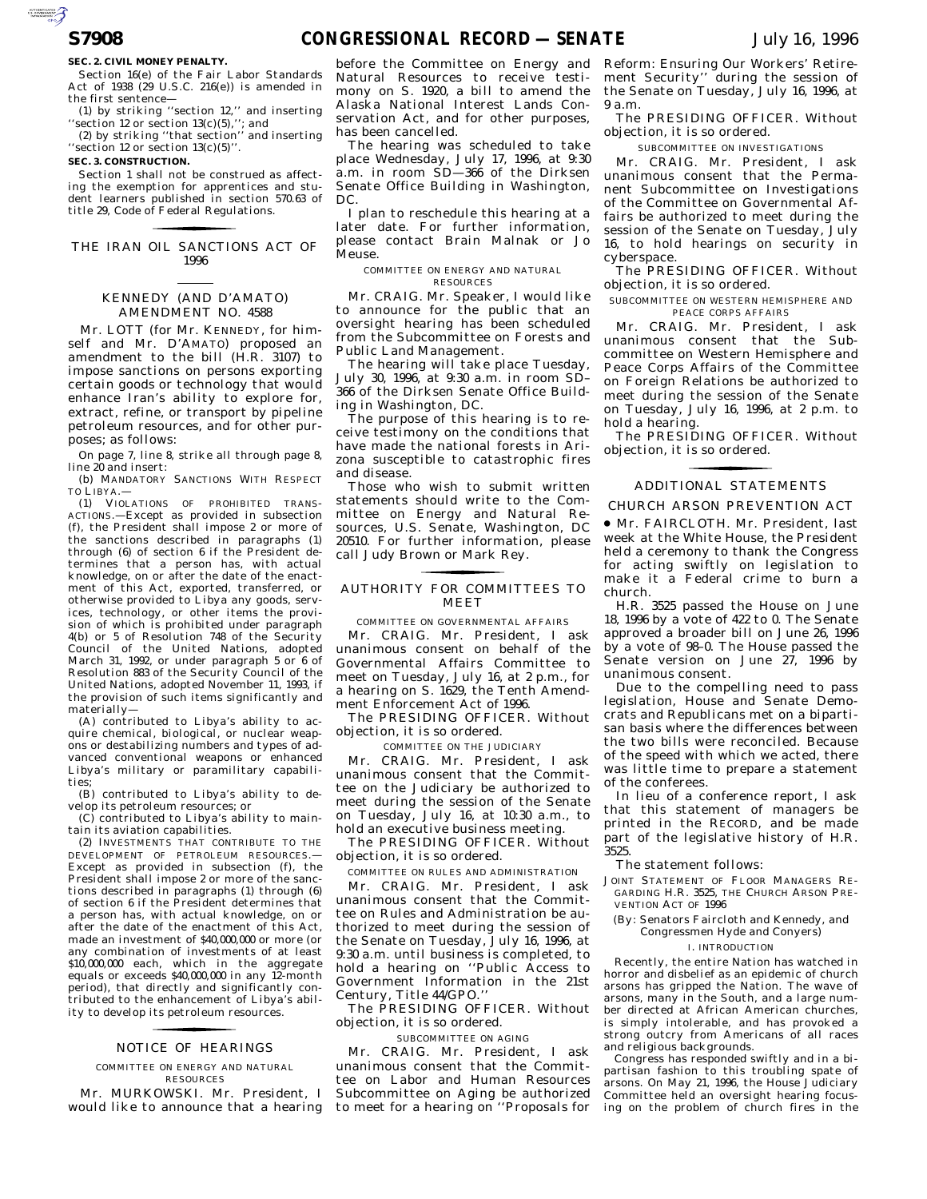#### **SEC. 2. CIVIL MONEY PENALTY.**

Section 16(e) of the Fair Labor Standards Act of 1938 (29 U.S.C. 216(e)) is amended in the first sentence—

(1) by striking ''section 12,'' and inserting "section 12 or section  $13(c)(5)$ ,"; and

(2) by striking ''that section'' and inserting ''section 12 or section 13(c)(5)''.

#### **SEC. 3. CONSTRUCTION.**

Section 1 shall not be construed as affecting the exemption for apprentices and student learners published in section 570.63 of title 29, Code of Federal Regulations.

# THE IRAN OIL SANCTIONS ACT OF for the control of the control of 1996

## KENNEDY (AND D'AMATO) AMENDMENT NO. 4588

Mr. LOTT (for Mr. KENNEDY, for himself and Mr. D'AMATO) proposed an amendment to the bill (H.R. 3107) to impose sanctions on persons exporting certain goods or technology that would enhance Iran's ability to explore for, extract, refine, or transport by pipeline petroleum resources, and for other purposes; as follows:

On page 7, line 8, strike all through page 8, line 20 and insert:

(b) MANDATORY SANCTIONS WITH RESPECT TO LIBYA.—

(1) VIOLATIONS OF PROHIBITED TRANS-ACTIONS.—Except as provided in subsection (f), the President shall impose 2 or more of the sanctions described in paragraphs (1) through (6) of section 6 if the President determines that a person has, with actual knowledge, on or after the date of the enactment of this Act, exported, transferred, or otherwise provided to Libya any goods, services, technology, or other items the provision of which is prohibited under paragraph 4(b) or 5 of Resolution 748 of the Security Council of the United Nations, adopted March 31, 1992, or under paragraph 5 or 6 of Resolution 883 of the Security Council of the United Nations, adopted November 11, 1993, if the provision of such items significantly and materially—

(A) contributed to Libya's ability to acquire chemical, biological, or nuclear weapons or destabilizing numbers and types of advanced conventional weapons or enhanced Libya's military or paramilitary capabilities;

(B) contributed to Libya's ability to develop its petroleum resources; or

(C) contributed to Libya's ability to maintain its aviation capabilities.

(2) INVESTMENTS THAT CONTRIBUTE TO THE DEVELOPMENT OF PETROLEUM RESOURCES.— Except as provided in subsection (f), the President shall impose 2 or more of the sanctions described in paragraphs (1) through (6) of section 6 if the President determines that a person has, with actual knowledge, on or after the date of the enactment of this Act, made an investment of \$40,000,000 or more (or any combination of investments of at least \$10,000,000 each, which in the aggregate equals or exceeds \$40,000,000 in any 12-month period), that directly and significantly contributed to the enhancement of Libya's ability to develop its petroleum resources.

# NOTICE OF HEARINGS for the control of the control of

COMMITTEE ON ENERGY AND NATURAL RESOURCES

Mr. MURKOWSKI. Mr. President, I would like to announce that a hearing

before the Committee on Energy and Natural Resources to receive testimony on S. 1920, a bill to amend the Alaska National Interest Lands Conservation Act, and for other purposes, has been cancelled.

The hearing was scheduled to take place Wednesday, July 17, 1996, at 9:30 a.m. in room SD—366 of the Dirksen Senate Office Building in Washington, DC.

I plan to reschedule this hearing at a later date. For further information, please contact Brain Malnak or Jo Meuse.

COMMITTEE ON ENERGY AND NATURAL RESOURCES

Mr. CRAIG. Mr. Speaker, I would like to announce for the public that an oversight hearing has been scheduled from the Subcommittee on Forests and Public Land Management.

The hearing will take place Tuesday, July 30, 1996, at 9:30 a.m. in room SD– 366 of the Dirksen Senate Office Building in Washington, DC.

The purpose of this hearing is to receive testimony on the conditions that have made the national forests in Arizona susceptible to catastrophic fires and disease.

Those who wish to submit written statements should write to the Committee on Energy and Natural Resources, U.S. Senate, Washington, DC 20510. For further information, please call Judy Brown or Mark Rey.

# AUTHORITY FOR COMMITTEES TO for the control of the control of MEET

COMMITTEE ON GOVERNMENTAL AFFAIRS

Mr. CRAIG. Mr. President, I ask unanimous consent on behalf of the Governmental Affairs Committee to meet on Tuesday, July 16, at 2 p.m., for a hearing on S. 1629, the Tenth Amendment Enforcement Act of 1996.

The PRESIDING OFFICER. Without objection, it is so ordered.

COMMITTEE ON THE JUDICIARY

Mr. CRAIG. Mr. President, I ask unanimous consent that the Committee on the Judiciary be authorized to meet during the session of the Senate on Tuesday, July 16, at 10:30 a.m., to hold an executive business meeting.

The PRESIDING OFFICER. Without objection, it is so ordered.

COMMITTEE ON RULES AND ADMINISTRATION Mr. CRAIG. Mr. President, I ask unanimous consent that the Committee on Rules and Administration be authorized to meet during the session of the Senate on Tuesday, July 16, 1996, at 9:30 a.m. until business is completed, to hold a hearing on ''Public Access to Government Information in the 21st

Century, Title 44/GPO.'' The PRESIDING OFFICER. Without

objection, it is so ordered.

# SUBCOMMITTEE ON AGING

Mr. CRAIG. Mr. President, I ask unanimous consent that the Committee on Labor and Human Resources Subcommittee on Aging be authorized to meet for a hearing on ''Proposals for Reform: Ensuring Our Workers' Retirement Security'' during the session of the Senate on Tuesday, July 16, 1996, at 9 a.m.

The PRESIDING OFFICER. Without objection, it is so ordered.

SUBCOMMITTEE ON INVESTIGATIONS

Mr. CRAIG. Mr. President, I ask unanimous consent that the Permanent Subcommittee on Investigations of the Committee on Governmental Affairs be authorized to meet during the session of the Senate on Tuesday, July 16, to hold hearings on security in cyberspace.

The PRESIDING OFFICER. Without objection, it is so ordered.

SUBCOMMITTEE ON WESTERN HEMISPHERE AND PEACE CORPS AFFAIRS

Mr. CRAIG. Mr. President, I ask unanimous consent that the Subcommittee on Western Hemisphere and Peace Corps Affairs of the Committee on Foreign Relations be authorized to meet during the session of the Senate on Tuesday, July 16, 1996, at 2 p.m. to hold a hearing.

The PRESIDING OFFICER. Without objection, it is so ordered. for the control of the control of

### ADDITIONAL STATEMENTS

#### CHURCH ARSON PREVENTION ACT

∑ Mr. FAIRCLOTH. Mr. President, last week at the White House, the President held a ceremony to thank the Congress for acting swiftly on legislation to make it a Federal crime to burn a church.

H.R. 3525 passed the House on June 18, 1996 by a vote of 422 to 0. The Senate approved a broader bill on June 26, 1996 by a vote of 98–0. The House passed the Senate version on June 27, 1996 by unanimous consent.

Due to the compelling need to pass legislation, House and Senate Democrats and Republicans met on a bipartisan basis where the differences between the two bills were reconciled. Because of the speed with which we acted, there was little time to prepare a statement of the conferees.

In lieu of a conference report, I ask that this statement of managers be printed in the RECORD, and be made part of the legislative history of H.R. 3525.

## The statement follows:

JOINT STATEMENT OF FLOOR MANAGERS RE-GARDING H.R. 3525, THE CHURCH ARSON PRE-VENTION ACT OF 1996

(By: Senators Faircloth and Kennedy, and Congressmen Hyde and Conyers)

## I. INTRODUCTION

Recently, the entire Nation has watched in horror and disbelief as an epidemic of church arsons has gripped the Nation. The wave of arsons, many in the South, and a large number directed at African American churches, is simply intolerable, and has provoked a strong outcry from Americans of all races and religious backgrounds.

Congress has responded swiftly and in a bipartisan fashion to this troubling spate of arsons. On May 21, 1996, the House Judiciary Committee held an oversight hearing focusing on the problem of church fires in the

AUTORITICATED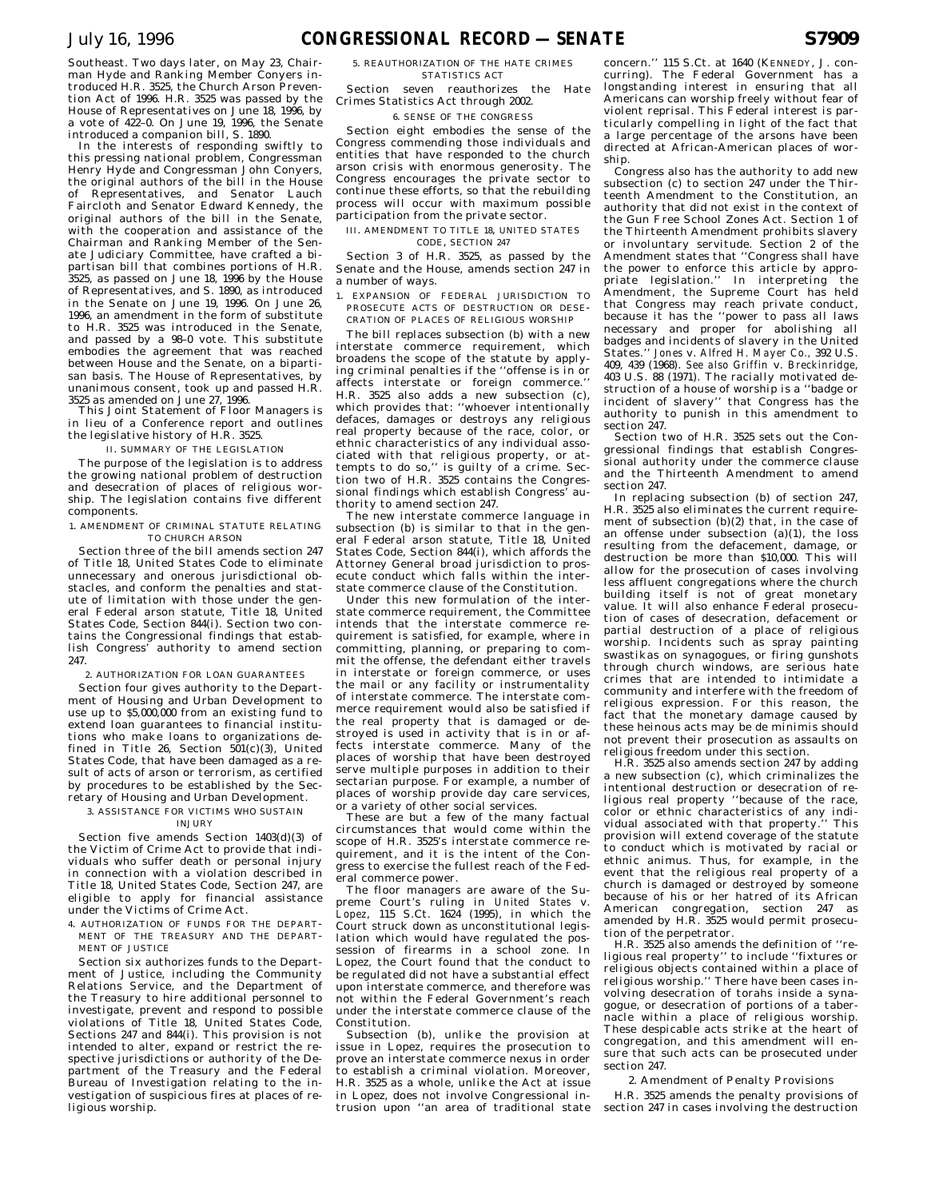man Hyde and Ranking Member Conyers introduced H.R. 3525, the Church Arson Prevention Act of 1996. H.R. 3525 was passed by the House of Representatives on June 18, 1996, by a vote of 422–0. On June 19, 1996, the Senate introduced a companion bill, S. 1890.

In the interests of responding swiftly to this pressing national problem, Congressman Henry Hyde and Congressman John Conyers, the original authors of the bill in the House of Representatives, and Senator Lauch Faircloth and Senator Edward Kennedy, the original authors of the bill in the Senate, with the cooperation and assistance of the Chairman and Ranking Member of the Senate Judiciary Committee, have crafted a bipartisan bill that combines portions of H.R.  $3525$ , as passed on June 18, 1996 by the House of Representatives, and S. 1890, as introduced in the Senate on June 19, 1996. On June 26, 1996, an amendment in the form of substitute to H.R. 3525 was introduced in the Senate, and passed by a 98–0 vote. This substitute embodies the agreement that was reached between House and the Senate, on a bipartisan basis. The House of Representatives, by unanimous consent, took up and passed H.R. 3525 as amended on June 27, 1996.

This Joint Statement of Floor Managers is in lieu of a Conference report and outlines the legislative history of H.R. 3525.

# II. SUMMARY OF THE LEGISLATION

The purpose of the legislation is to address the growing national problem of destruction and desecration of places of religious worship. The legislation contains five different components.

## 1. AMENDMENT OF CRIMINAL STATUTE RELATING TO CHURCH ARSON

Section three of the bill amends section 247 of Title 18, United States Code to eliminate unnecessary and onerous jurisdictional obstacles, and conform the penalties and statute of limitation with those under the general Federal arson statute, Title 18, United States Code, Section 844(i). Section two contains the Congressional findings that establish Congress' authority to amend section 247.

2. AUTHORIZATION FOR LOAN GUARANTEES

Section four gives authority to the Department of Housing and Urban Development to use up to \$5,000,000 from an existing fund to extend loan guarantees to financial institutions who make loans to organizations defined in Title  $26$ , Section  $501(c)(3)$ , United States Code, that have been damaged as a result of acts of arson or terrorism, as certified by procedures to be established by the Secretary of Housing and Urban Development.

3. ASSISTANCE FOR VICTIMS WHO SUSTAIN

#### INJURY

Section five amends Section 1403(d)(3) of the Victim of Crime Act to provide that individuals who suffer death or personal injury in connection with a violation described in Title 18, United States Code, Section 247, are eligible to apply for financial assistance under the Victims of Crime Act.

4. AUTHORIZATION OF FUNDS FOR THE DEPART-MENT OF THE TREASURY AND THE DEPART-MENT OF JUSTICE

Section six authorizes funds to the Department of Justice, including the Community Relations Service, and the Department of the Treasury to hire additional personnel to investigate, prevent and respond to possible violations of Title 18, United States Code, Sections 247 and 844(i). This provision is not intended to alter, expand or restrict the respective jurisdictions or authority of the Department of the Treasury and the Federal Bureau of Investigation relating to the investigation of suspicious fires at places of religious worship.

5. REAUTHORIZATION OF THE HATE CRIMES STATISTICS ACT

Section seven reauthorizes the Hate Crimes Statistics Act through 2002. 6. SENSE OF THE CONGRESS

Section eight embodies the sense of the Congress commending those individuals and entities that have responded to the church arson crisis with enormous generosity. The Congress encourages the private sector to continue these efforts, so that the rebuilding process will occur with maximum possible participation from the private sector.

III. AMENDMENT TO TITLE 18, UNITED STATES CODE, SECTION 247

Section 3 of H.R. 3525, as passed by the Senate and the House, amends section 247 in a number of ways.

1. EXPANSION OF FEDERAL JURISDICTION TO PROSECUTE ACTS OF DESTRUCTION OR DESE-CRATION OF PLACES OF RELIGIOUS WORSHIP

The bill replaces subsection (b) with a new interstate commerce requirement, which broadens the scope of the statute by applying criminal penalties if the ''offense is in or affects interstate or foreign commerce.'' H.R. 3525 also adds a new subsection (c), which provides that: ''whoever intentionally defaces, damages or destroys any religious real property because of the race, color, or ethnic characteristics of any individual associated with that religious property, or attempts to do so,'' is guilty of a crime. Section two of H.R. 3525 contains the Congressional findings which establish Congress' authority to amend section 247.

The new interstate commerce language in subsection (b) is similar to that in the general Federal arson statute, Title 18, United States Code, Section 844(i), which affords the Attorney General broad jurisdiction to prosecute conduct which falls within the interstate commerce clause of the Constitution.

Under this new formulation of the interstate commerce requirement, the Committee intends that the interstate commerce requirement is satisfied, for example, where in committing, planning, or preparing to commit the offense, the defendant either travels in interstate or foreign commerce, or uses the mail or any facility or instrumentality of interstate commerce. The interstate commerce requirement would also be satisfied if the real property that is damaged or destroyed is used in activity that is in or affects interstate commerce. Many of the places of worship that have been destroyed serve multiple purposes in addition to their sectarian purpose. For example, a number of places of worship provide day care services, or a variety of other social services.

These are but a few of the many factual circumstances that would come within the scope of H.R. 3525's interstate commerce requirement, and it is the intent of the Congress to exercise the fullest reach of the Federal commerce power.

The floor managers are aware of the Supreme Court's ruling in *United States* v. *Lopez*, 115 S.Ct. 1624 (1995), in which the Court struck down as unconstitutional legislation which would have regulated the possession of firearms in a school zone. In Lopez, the Court found that the conduct to be regulated did not have a substantial effect upon interstate commerce, and therefore was not within the Federal Government's reach under the interstate commerce clause of the Constitution.

Subsection (b), unlike the provision at issue in Lopez, requires the prosecution to prove an interstate commerce nexus in order to establish a criminal violation. Moreover, H.R. 3525 as a whole, unlike the Act at issue in Lopez, does not involve Congressional intrusion upon ''an area of traditional state

concern.'' 115 S.Ct. at 1640 (KENNEDY, J. concurring). The Federal Government has a longstanding interest in ensuring that all Americans can worship freely without fear of violent reprisal. This Federal interest is particularly compelling in light of the fact that a large percentage of the arsons have been directed at African-American places of worship.

Congress also has the authority to add new subsection (c) to section 247 under the Thirteenth Amendment to the Constitution, an authority that did not exist in the context of the Gun Free School Zones Act. Section 1 of the Thirteenth Amendment prohibits slavery or involuntary servitude. Section 2 of the Amendment states that ''Congress shall have the power to enforce this article by appro-<br>priate legislation." In interpreting the priate legislation." Amendment, the Supreme Court has held that Congress may reach private conduct, because it has the ''power to pass all laws necessary and proper for abolishing all badges and incidents of slavery in the United States.'' *Jones* v. *Alfred H. Mayer Co.,* 392 U.S. 409, 439 (1968). *See also Griffin* v. *Breckinridge*, 403 U.S. 88 (1971). The racially motivated destruction of a house of worship is a ''badge or incident of slavery'' that Congress has the authority to punish in this amendment to section 247.

Section two of H.R. 3525 sets out the Congressional findings that establish Congressional authority under the commerce clause and the Thirteenth Amendment to amend section 247.

In replacing subsection (b) of section 247, H.R. 3525 also eliminates the current requirement of subsection (b)(2) that, in the case of an offense under subsection  $(a)(1)$ , the loss resulting from the defacement, damage, or destruction be more than \$10,000. This will allow for the prosecution of cases involving less affluent congregations where the church building itself is not of great monetary value. It will also enhance Federal prosecution of cases of desecration, defacement or partial destruction of a place of religious worship. Incidents such as spray painting swastikas on synagogues, or firing gunshots through church windows, are serious hate crimes that are intended to intimidate a community and interfere with the freedom of religious expression. For this reason, the fact that the monetary damage caused by these heinous acts may be de minimis should not prevent their prosecution as assaults on religious freedom under this section.

H.R. 3525 also amends section 247 by adding a new subsection (c), which criminalizes the intentional destruction or desecration of religious real property ''because of the race, color or ethnic characteristics of any indi-<br>vidual associated with that property'' This vidual associated with that property.' provision will extend coverage of the statute to conduct which is motivated by racial or ethnic animus. Thus, for example, in the event that the religious real property of a church is damaged or destroyed by someone because of his or her hatred of its African American congregation, section 247 as amended by H.R. 3525 would permit prosecution of the perpetrator.

H.R. 3525 also amends the definition of ''religious real property'' to include ''fixtures or religious objects contained within a place of religious worship.'' There have been cases involving desecration of torahs inside a synagogue, or desecration of portions of a tabernacle within a place of religious worship. These despicable acts strike at the heart of congregation, and this amendment will ensure that such acts can be prosecuted under section 247.

2. Amendment of Penalty Provisions H.R. 3525 amends the penalty provisions of section 247 in cases involving the destruction